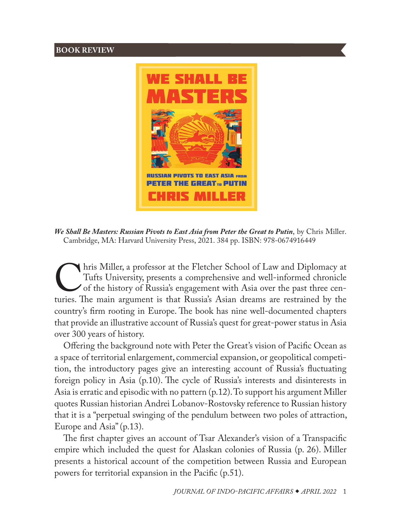## **BOOK REVIEW**



*We Shall Be Masters: Russian Pivots to East Asia from Peter the Great to Putin*, by Chris Miller. Cambridge, MA: Harvard University Press, 2021. 384 pp. ISBN: 978-0674916449

Tufts Miller, a professor at the Fletcher School of Law and Diplomacy at Tufts University, presents a comprehensive and well-informed chronicle of the history of Russia's engagement with Asia over the past three centuries. Tufts University, presents a comprehensive and well-informed chronicle of the history of Russia's engagement with Asia over the past three centuries. The main argument is that Russia's Asian dreams are restrained by the country's firm rooting in Europe. The book has nine well-documented chapters that provide an illustrative account of Russia's quest for great-power status in Asia over 300 years of history.

Offering the background note with Peter the Great's vision of Pacific Ocean as a space of territorial enlargement, commercial expansion, or geopolitical competition, the introductory pages give an interesting account of Russia's fluctuating foreign policy in Asia (p.10). The cycle of Russia's interests and disinterests in Asia is erratic and episodic with no pattern (p.12). To support his argument Miller quotes Russian historian Andrei Lobanov-Rostovsky reference to Russian history that it is a "perpetual swinging of the pendulum between two poles of attraction, Europe and Asia" (p.13).

The first chapter gives an account of Tsar Alexander's vision of a Transpacific empire which included the quest for Alaskan colonies of Russia (p. 26). Miller presents a historical account of the competition between Russia and European powers for territorial expansion in the Pacific (p.51).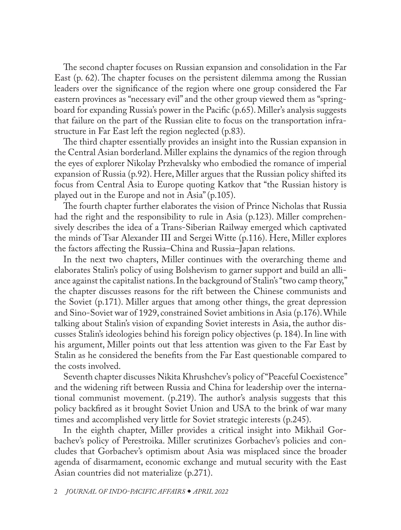The second chapter focuses on Russian expansion and consolidation in the Far East (p. 62). The chapter focuses on the persistent dilemma among the Russian leaders over the significance of the region where one group considered the Far eastern provinces as "necessary evil" and the other group viewed them as "springboard for expanding Russia's power in the Pacific (p.65). Miller's analysis suggests that failure on the part of the Russian elite to focus on the transportation infrastructure in Far East left the region neglected (p.83).

The third chapter essentially provides an insight into the Russian expansion in the Central Asian borderland. Miller explains the dynamics of the region through the eyes of explorer Nikolay Przhevalsky who embodied the romance of imperial expansion of Russia (p.92). Here, Miller argues that the Russian policy shifted its focus from Central Asia to Europe quoting Katkov that "the Russian history is played out in the Europe and not in Asia" (p.105).

The fourth chapter further elaborates the vision of Prince Nicholas that Russia had the right and the responsibility to rule in Asia (p.123). Miller comprehensively describes the idea of a Trans-Siberian Railway emerged which captivated the minds of Tsar Alexander III and Sergei Witte (p.116). Here, Miller explores the factors affecting the Russia–China and Russia–Japan relations.

In the next two chapters, Miller continues with the overarching theme and elaborates Stalin's policy of using Bolshevism to garner support and build an alliance against the capitalist nations. In the background of Stalin's "two camp theory," the chapter discusses reasons for the rift between the Chinese communists and the Soviet (p.171). Miller argues that among other things, the great depression and Sino-Soviet war of 1929, constrained Soviet ambitions in Asia (p.176). While talking about Stalin's vision of expanding Soviet interests in Asia, the author discusses Stalin's ideologies behind his foreign policy objectives (p. 184). In line with his argument, Miller points out that less attention was given to the Far East by Stalin as he considered the benefits from the Far East questionable compared to the costs involved.

Seventh chapter discusses Nikita Khrushchev's policy of "Peaceful Coexistence" and the widening rift between Russia and China for leadership over the international communist movement. (p.219). The author's analysis suggests that this policy backfired as it brought Soviet Union and USA to the brink of war many times and accomplished very little for Soviet strategic interests (p.245).

In the eighth chapter, Miller provides a critical insight into Mikhail Gorbachev's policy of Perestroika. Miller scrutinizes Gorbachev's policies and concludes that Gorbachev's optimism about Asia was misplaced since the broader agenda of disarmament, economic exchange and mutual security with the East Asian countries did not materialize (p.271).